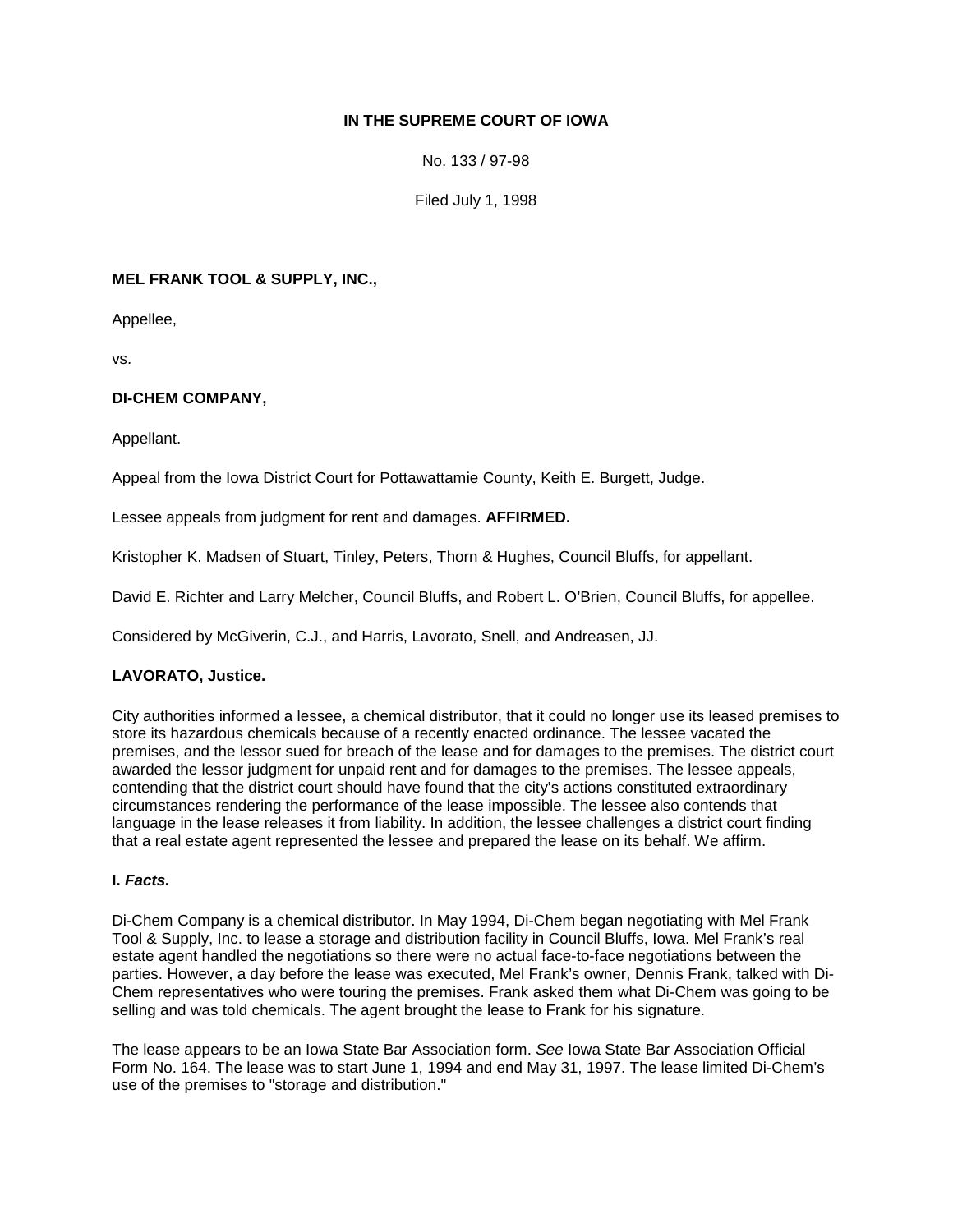# **IN THE SUPREME COURT OF IOWA**

No. 133 / 97-98

Filed July 1, 1998

# **MEL FRANK TOOL & SUPPLY, INC.,**

Appellee,

vs.

# **DI-CHEM COMPANY,**

Appellant.

Appeal from the Iowa District Court for Pottawattamie County, Keith E. Burgett, Judge.

Lessee appeals from judgment for rent and damages. **AFFIRMED.**

Kristopher K. Madsen of Stuart, Tinley, Peters, Thorn & Hughes, Council Bluffs, for appellant.

David E. Richter and Larry Melcher, Council Bluffs, and Robert L. O'Brien, Council Bluffs, for appellee.

Considered by McGiverin, C.J., and Harris, Lavorato, Snell, and Andreasen, JJ.

# **LAVORATO, Justice.**

City authorities informed a lessee, a chemical distributor, that it could no longer use its leased premises to store its hazardous chemicals because of a recently enacted ordinance. The lessee vacated the premises, and the lessor sued for breach of the lease and for damages to the premises. The district court awarded the lessor judgment for unpaid rent and for damages to the premises. The lessee appeals, contending that the district court should have found that the city's actions constituted extraordinary circumstances rendering the performance of the lease impossible. The lessee also contends that language in the lease releases it from liability. In addition, the lessee challenges a district court finding that a real estate agent represented the lessee and prepared the lease on its behalf. We affirm.

### **I.** *Facts.*

Di-Chem Company is a chemical distributor. In May 1994, Di-Chem began negotiating with Mel Frank Tool & Supply, Inc. to lease a storage and distribution facility in Council Bluffs, Iowa. Mel Frank's real estate agent handled the negotiations so there were no actual face-to-face negotiations between the parties. However, a day before the lease was executed, Mel Frank's owner, Dennis Frank, talked with Di-Chem representatives who were touring the premises. Frank asked them what Di-Chem was going to be selling and was told chemicals. The agent brought the lease to Frank for his signature.

The lease appears to be an Iowa State Bar Association form. *See* Iowa State Bar Association Official Form No. 164. The lease was to start June 1, 1994 and end May 31, 1997. The lease limited Di-Chem's use of the premises to "storage and distribution."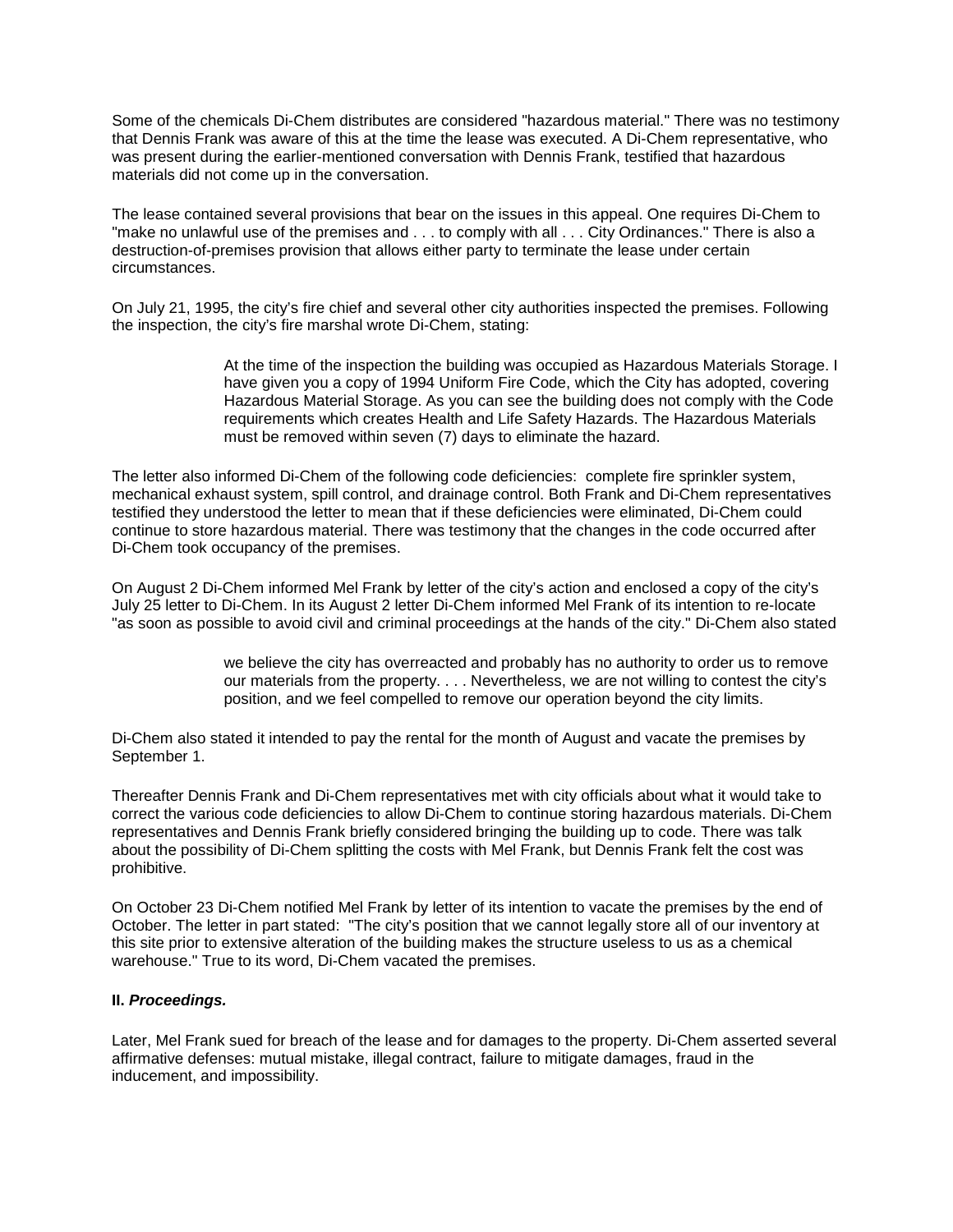Some of the chemicals Di-Chem distributes are considered "hazardous material." There was no testimony that Dennis Frank was aware of this at the time the lease was executed. A Di-Chem representative, who was present during the earlier-mentioned conversation with Dennis Frank, testified that hazardous materials did not come up in the conversation.

The lease contained several provisions that bear on the issues in this appeal. One requires Di-Chem to "make no unlawful use of the premises and . . . to comply with all . . . City Ordinances." There is also a destruction-of-premises provision that allows either party to terminate the lease under certain circumstances.

On July 21, 1995, the city's fire chief and several other city authorities inspected the premises. Following the inspection, the city's fire marshal wrote Di-Chem, stating:

> At the time of the inspection the building was occupied as Hazardous Materials Storage. I have given you a copy of 1994 Uniform Fire Code, which the City has adopted, covering Hazardous Material Storage. As you can see the building does not comply with the Code requirements which creates Health and Life Safety Hazards. The Hazardous Materials must be removed within seven (7) days to eliminate the hazard.

The letter also informed Di-Chem of the following code deficiencies: complete fire sprinkler system, mechanical exhaust system, spill control, and drainage control. Both Frank and Di-Chem representatives testified they understood the letter to mean that if these deficiencies were eliminated, Di-Chem could continue to store hazardous material. There was testimony that the changes in the code occurred after Di-Chem took occupancy of the premises.

On August 2 Di-Chem informed Mel Frank by letter of the city's action and enclosed a copy of the city's July 25 letter to Di-Chem. In its August 2 letter Di-Chem informed Mel Frank of its intention to re-locate "as soon as possible to avoid civil and criminal proceedings at the hands of the city." Di-Chem also stated

> we believe the city has overreacted and probably has no authority to order us to remove our materials from the property. . . . Nevertheless, we are not willing to contest the city's position, and we feel compelled to remove our operation beyond the city limits.

Di-Chem also stated it intended to pay the rental for the month of August and vacate the premises by September 1.

Thereafter Dennis Frank and Di-Chem representatives met with city officials about what it would take to correct the various code deficiencies to allow Di-Chem to continue storing hazardous materials. Di-Chem representatives and Dennis Frank briefly considered bringing the building up to code. There was talk about the possibility of Di-Chem splitting the costs with Mel Frank, but Dennis Frank felt the cost was prohibitive.

On October 23 Di-Chem notified Mel Frank by letter of its intention to vacate the premises by the end of October. The letter in part stated: "The city's position that we cannot legally store all of our inventory at this site prior to extensive alteration of the building makes the structure useless to us as a chemical warehouse." True to its word, Di-Chem vacated the premises.

### **II.** *Proceedings.*

Later, Mel Frank sued for breach of the lease and for damages to the property. Di-Chem asserted several affirmative defenses: mutual mistake, illegal contract, failure to mitigate damages, fraud in the inducement, and impossibility.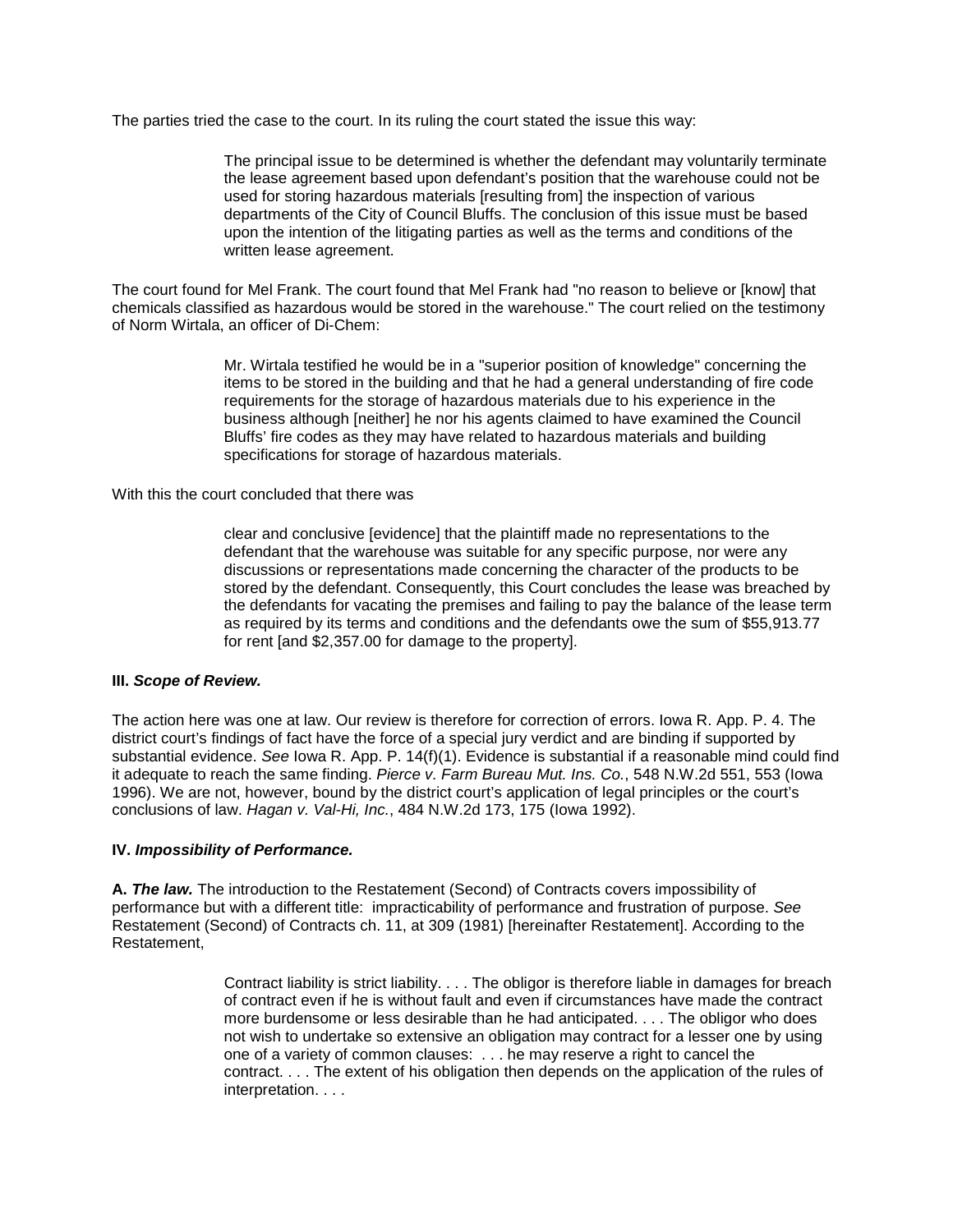The parties tried the case to the court. In its ruling the court stated the issue this way:

The principal issue to be determined is whether the defendant may voluntarily terminate the lease agreement based upon defendant's position that the warehouse could not be used for storing hazardous materials [resulting from] the inspection of various departments of the City of Council Bluffs. The conclusion of this issue must be based upon the intention of the litigating parties as well as the terms and conditions of the written lease agreement.

The court found for Mel Frank. The court found that Mel Frank had "no reason to believe or [know] that chemicals classified as hazardous would be stored in the warehouse." The court relied on the testimony of Norm Wirtala, an officer of Di-Chem:

> Mr. Wirtala testified he would be in a "superior position of knowledge" concerning the items to be stored in the building and that he had a general understanding of fire code requirements for the storage of hazardous materials due to his experience in the business although [neither] he nor his agents claimed to have examined the Council Bluffs' fire codes as they may have related to hazardous materials and building specifications for storage of hazardous materials.

With this the court concluded that there was

clear and conclusive [evidence] that the plaintiff made no representations to the defendant that the warehouse was suitable for any specific purpose, nor were any discussions or representations made concerning the character of the products to be stored by the defendant. Consequently, this Court concludes the lease was breached by the defendants for vacating the premises and failing to pay the balance of the lease term as required by its terms and conditions and the defendants owe the sum of \$55,913.77 for rent [and \$2,357.00 for damage to the property].

### **III.** *Scope of Review.*

The action here was one at law. Our review is therefore for correction of errors. Iowa R. App. P. 4. The district court's findings of fact have the force of a special jury verdict and are binding if supported by substantial evidence. *See* Iowa R. App. P. 14(f)(1). Evidence is substantial if a reasonable mind could find it adequate to reach the same finding. *Pierce v. Farm Bureau Mut. Ins. Co.*, 548 N.W.2d 551, 553 (Iowa 1996). We are not, however, bound by the district court's application of legal principles or the court's conclusions of law. *Hagan v. Val-Hi, Inc.*, 484 N.W.2d 173, 175 (Iowa 1992).

### **IV.** *Impossibility of Performance.*

**A.** *The law.* The introduction to the Restatement (Second) of Contracts covers impossibility of performance but with a different title: impracticability of performance and frustration of purpose. *See*  Restatement (Second) of Contracts ch. 11, at 309 (1981) [hereinafter Restatement]. According to the Restatement,

> Contract liability is strict liability. . . . The obligor is therefore liable in damages for breach of contract even if he is without fault and even if circumstances have made the contract more burdensome or less desirable than he had anticipated. . . . The obligor who does not wish to undertake so extensive an obligation may contract for a lesser one by using one of a variety of common clauses: . . . he may reserve a right to cancel the contract. . . . The extent of his obligation then depends on the application of the rules of interpretation. . . .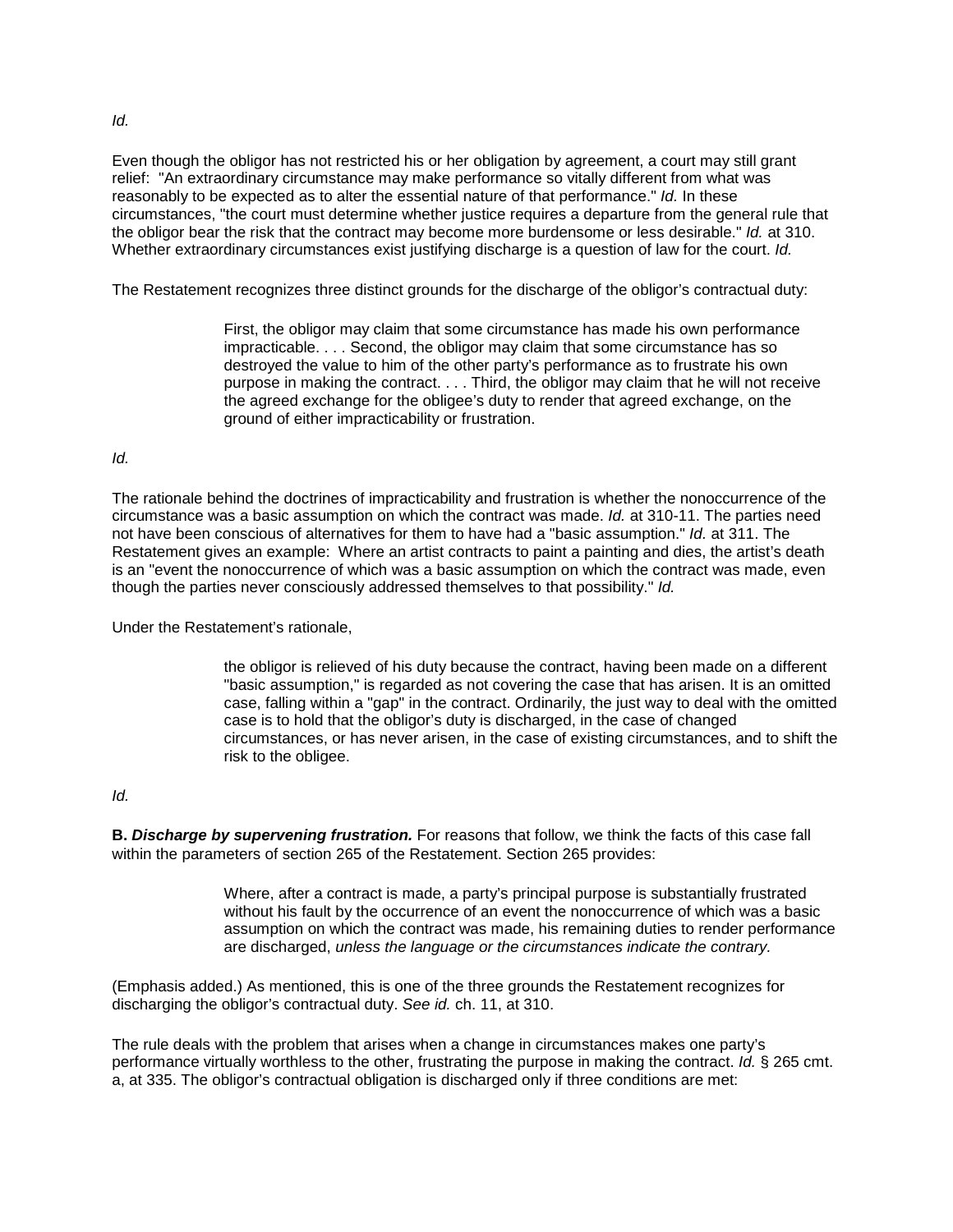Even though the obligor has not restricted his or her obligation by agreement, a court may still grant relief: "An extraordinary circumstance may make performance so vitally different from what was reasonably to be expected as to alter the essential nature of that performance." *Id.* In these circumstances, "the court must determine whether justice requires a departure from the general rule that the obligor bear the risk that the contract may become more burdensome or less desirable." *Id.* at 310. Whether extraordinary circumstances exist justifying discharge is a question of law for the court. *Id.*

The Restatement recognizes three distinct grounds for the discharge of the obligor's contractual duty:

First, the obligor may claim that some circumstance has made his own performance impracticable. . . . Second, the obligor may claim that some circumstance has so destroyed the value to him of the other party's performance as to frustrate his own purpose in making the contract. . . . Third, the obligor may claim that he will not receive the agreed exchange for the obligee's duty to render that agreed exchange, on the ground of either impracticability or frustration.

### *Id.*

The rationale behind the doctrines of impracticability and frustration is whether the nonoccurrence of the circumstance was a basic assumption on which the contract was made. *Id.* at 310-11. The parties need not have been conscious of alternatives for them to have had a "basic assumption." *Id.* at 311. The Restatement gives an example: Where an artist contracts to paint a painting and dies, the artist's death is an "event the nonoccurrence of which was a basic assumption on which the contract was made, even though the parties never consciously addressed themselves to that possibility." *Id.*

Under the Restatement's rationale,

the obligor is relieved of his duty because the contract, having been made on a different "basic assumption," is regarded as not covering the case that has arisen. It is an omitted case, falling within a "gap" in the contract. Ordinarily, the just way to deal with the omitted case is to hold that the obligor's duty is discharged, in the case of changed circumstances, or has never arisen, in the case of existing circumstances, and to shift the risk to the obligee.

### *Id.*

**B.** *Discharge by supervening frustration.* For reasons that follow, we think the facts of this case fall within the parameters of section 265 of the Restatement. Section 265 provides:

> Where, after a contract is made, a party's principal purpose is substantially frustrated without his fault by the occurrence of an event the nonoccurrence of which was a basic assumption on which the contract was made, his remaining duties to render performance are discharged, *unless the language or the circumstances indicate the contrary.*

(Emphasis added.) As mentioned, this is one of the three grounds the Restatement recognizes for discharging the obligor's contractual duty. *See id.* ch. 11, at 310.

The rule deals with the problem that arises when a change in circumstances makes one party's performance virtually worthless to the other, frustrating the purpose in making the contract. *Id.* § 265 cmt. a, at 335. The obligor's contractual obligation is discharged only if three conditions are met:

*Id.*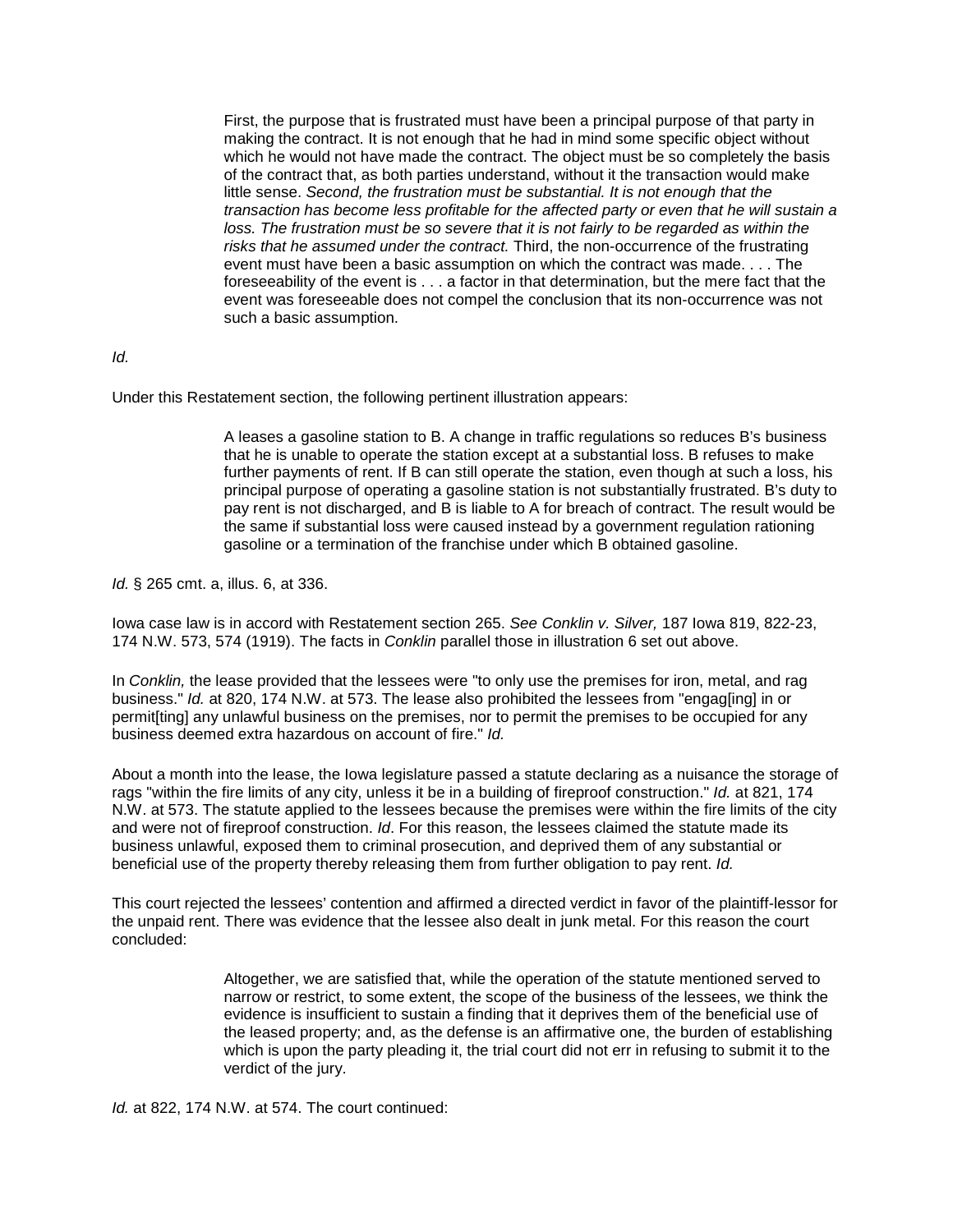First, the purpose that is frustrated must have been a principal purpose of that party in making the contract. It is not enough that he had in mind some specific object without which he would not have made the contract. The object must be so completely the basis of the contract that, as both parties understand, without it the transaction would make little sense. *Second, the frustration must be substantial. It is not enough that the transaction has become less profitable for the affected party or even that he will sustain a*  loss. The frustration must be so severe that it is not fairly to be regarded as within the *risks that he assumed under the contract.* Third, the non-occurrence of the frustrating event must have been a basic assumption on which the contract was made. . . . The foreseeability of the event is . . . a factor in that determination, but the mere fact that the event was foreseeable does not compel the conclusion that its non-occurrence was not such a basic assumption.

*Id.*

Under this Restatement section, the following pertinent illustration appears:

A leases a gasoline station to B. A change in traffic regulations so reduces B's business that he is unable to operate the station except at a substantial loss. B refuses to make further payments of rent. If B can still operate the station, even though at such a loss, his principal purpose of operating a gasoline station is not substantially frustrated. B's duty to pay rent is not discharged, and B is liable to A for breach of contract. The result would be the same if substantial loss were caused instead by a government regulation rationing gasoline or a termination of the franchise under which B obtained gasoline.

*Id.* § 265 cmt. a, illus. 6, at 336.

Iowa case law is in accord with Restatement section 265. *See Conklin v. Silver,* 187 Iowa 819, 822-23, 174 N.W. 573, 574 (1919). The facts in *Conklin* parallel those in illustration 6 set out above.

In *Conklin,* the lease provided that the lessees were "to only use the premises for iron, metal, and rag business." *Id.* at 820, 174 N.W. at 573. The lease also prohibited the lessees from "engag[ing] in or permit[ting] any unlawful business on the premises, nor to permit the premises to be occupied for any business deemed extra hazardous on account of fire." *Id.*

About a month into the lease, the Iowa legislature passed a statute declaring as a nuisance the storage of rags "within the fire limits of any city, unless it be in a building of fireproof construction." *Id.* at 821, 174 N.W. at 573. The statute applied to the lessees because the premises were within the fire limits of the city and were not of fireproof construction. *Id*. For this reason, the lessees claimed the statute made its business unlawful, exposed them to criminal prosecution, and deprived them of any substantial or beneficial use of the property thereby releasing them from further obligation to pay rent. *Id.*

This court rejected the lessees' contention and affirmed a directed verdict in favor of the plaintiff-lessor for the unpaid rent. There was evidence that the lessee also dealt in junk metal. For this reason the court concluded:

> Altogether, we are satisfied that, while the operation of the statute mentioned served to narrow or restrict, to some extent, the scope of the business of the lessees, we think the evidence is insufficient to sustain a finding that it deprives them of the beneficial use of the leased property; and, as the defense is an affirmative one, the burden of establishing which is upon the party pleading it, the trial court did not err in refusing to submit it to the verdict of the jury.

*Id.* at 822, 174 N.W. at 574. The court continued: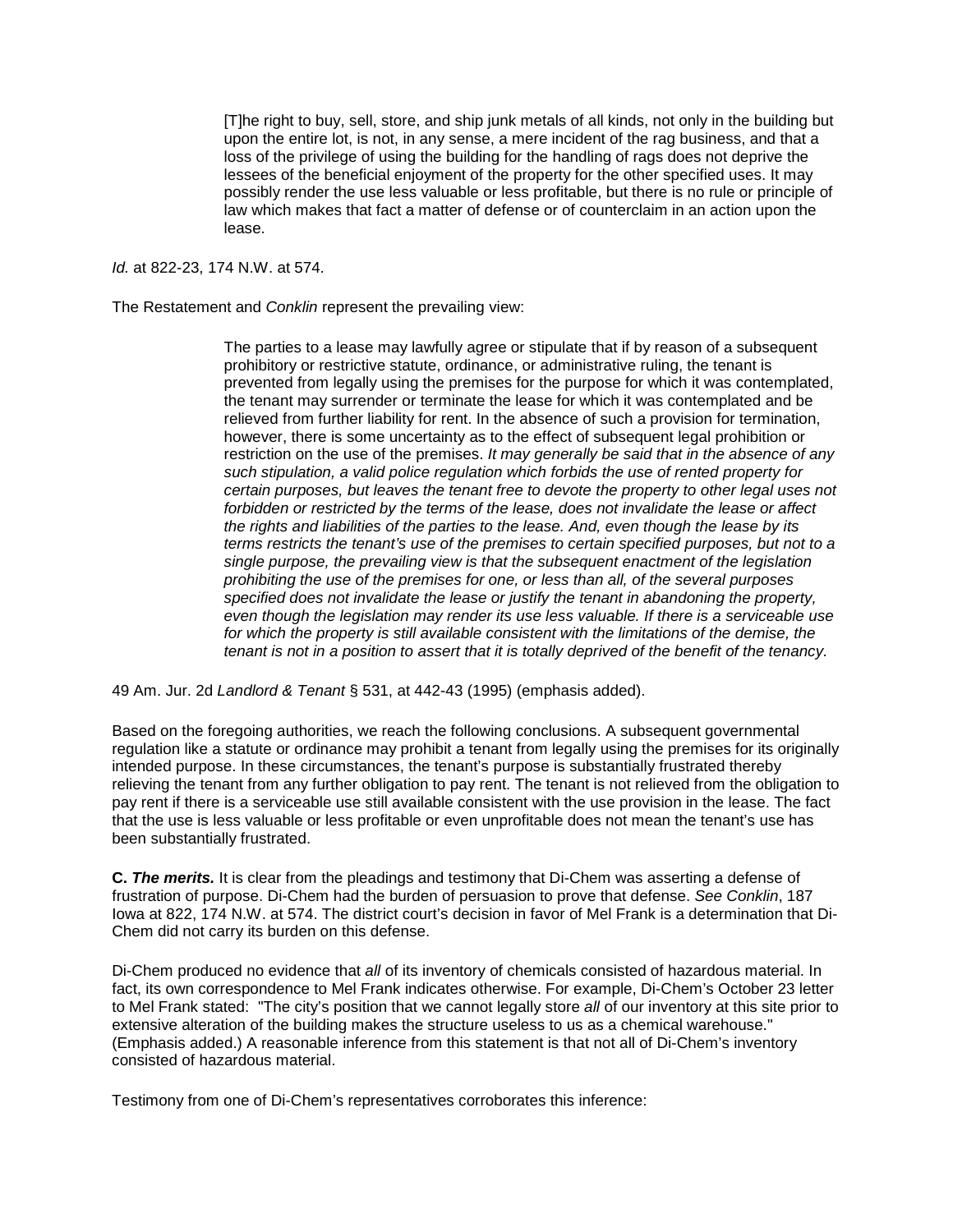[T]he right to buy, sell, store, and ship junk metals of all kinds, not only in the building but upon the entire lot, is not, in any sense, a mere incident of the rag business, and that a loss of the privilege of using the building for the handling of rags does not deprive the lessees of the beneficial enjoyment of the property for the other specified uses. It may possibly render the use less valuable or less profitable, but there is no rule or principle of law which makes that fact a matter of defense or of counterclaim in an action upon the lease.

#### *Id.* at 822-23, 174 N.W. at 574.

The Restatement and *Conklin* represent the prevailing view:

The parties to a lease may lawfully agree or stipulate that if by reason of a subsequent prohibitory or restrictive statute, ordinance, or administrative ruling, the tenant is prevented from legally using the premises for the purpose for which it was contemplated, the tenant may surrender or terminate the lease for which it was contemplated and be relieved from further liability for rent. In the absence of such a provision for termination, however, there is some uncertainty as to the effect of subsequent legal prohibition or restriction on the use of the premises. *It may generally be said that in the absence of any such stipulation, a valid police regulation which forbids the use of rented property for certain purposes, but leaves the tenant free to devote the property to other legal uses not forbidden or restricted by the terms of the lease, does not invalidate the lease or affect the rights and liabilities of the parties to the lease. And, even though the lease by its terms restricts the tenant's use of the premises to certain specified purposes, but not to a single purpose, the prevailing view is that the subsequent enactment of the legislation prohibiting the use of the premises for one, or less than all, of the several purposes specified does not invalidate the lease or justify the tenant in abandoning the property, even though the legislation may render its use less valuable. If there is a serviceable use*  for which the property is still available consistent with the limitations of the demise, the *tenant is not in a position to assert that it is totally deprived of the benefit of the tenancy.*

49 Am. Jur. 2d *Landlord & Tenant* § 531, at 442-43 (1995) (emphasis added).

Based on the foregoing authorities, we reach the following conclusions. A subsequent governmental regulation like a statute or ordinance may prohibit a tenant from legally using the premises for its originally intended purpose. In these circumstances, the tenant's purpose is substantially frustrated thereby relieving the tenant from any further obligation to pay rent. The tenant is not relieved from the obligation to pay rent if there is a serviceable use still available consistent with the use provision in the lease. The fact that the use is less valuable or less profitable or even unprofitable does not mean the tenant's use has been substantially frustrated.

**C.** *The merits.* It is clear from the pleadings and testimony that Di-Chem was asserting a defense of frustration of purpose. Di-Chem had the burden of persuasion to prove that defense. *See Conklin*, 187 Iowa at 822, 174 N.W. at 574. The district court's decision in favor of Mel Frank is a determination that Di-Chem did not carry its burden on this defense.

Di-Chem produced no evidence that *all* of its inventory of chemicals consisted of hazardous material. In fact, its own correspondence to Mel Frank indicates otherwise. For example, Di-Chem's October 23 letter to Mel Frank stated: "The city's position that we cannot legally store *all* of our inventory at this site prior to extensive alteration of the building makes the structure useless to us as a chemical warehouse." (Emphasis added.) A reasonable inference from this statement is that not all of Di-Chem's inventory consisted of hazardous material.

Testimony from one of Di-Chem's representatives corroborates this inference: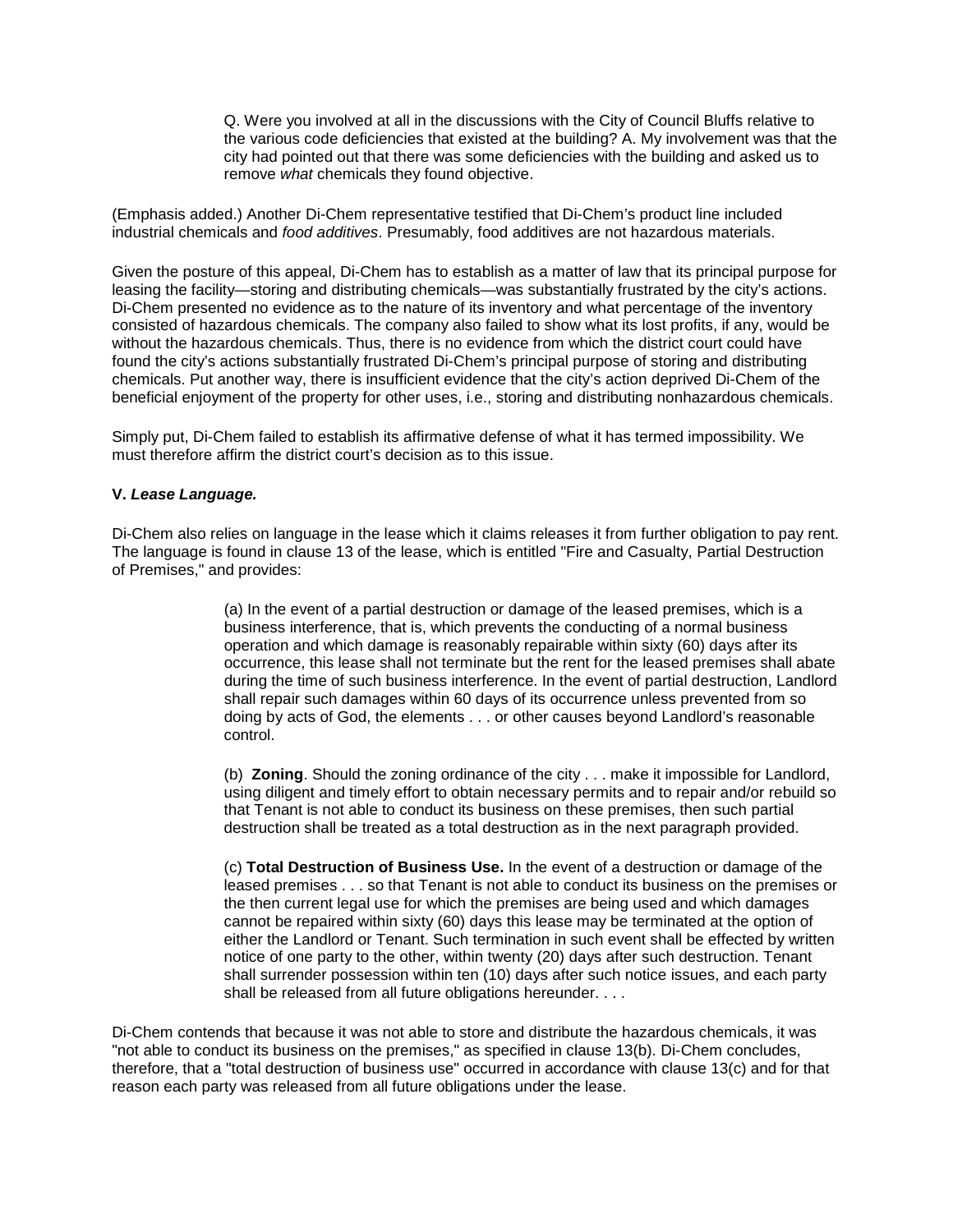Q. Were you involved at all in the discussions with the City of Council Bluffs relative to the various code deficiencies that existed at the building? A. My involvement was that the city had pointed out that there was some deficiencies with the building and asked us to remove *what* chemicals they found objective.

(Emphasis added.) Another Di-Chem representative testified that Di-Chem's product line included industrial chemicals and *food additives*. Presumably, food additives are not hazardous materials.

Given the posture of this appeal, Di-Chem has to establish as a matter of law that its principal purpose for leasing the facility—storing and distributing chemicals—was substantially frustrated by the city's actions. Di-Chem presented no evidence as to the nature of its inventory and what percentage of the inventory consisted of hazardous chemicals. The company also failed to show what its lost profits, if any, would be without the hazardous chemicals. Thus, there is no evidence from which the district court could have found the city's actions substantially frustrated Di-Chem's principal purpose of storing and distributing chemicals. Put another way, there is insufficient evidence that the city's action deprived Di-Chem of the beneficial enjoyment of the property for other uses, i.e., storing and distributing nonhazardous chemicals.

Simply put, Di-Chem failed to establish its affirmative defense of what it has termed impossibility. We must therefore affirm the district court's decision as to this issue.

#### **V.** *Lease Language.*

Di-Chem also relies on language in the lease which it claims releases it from further obligation to pay rent. The language is found in clause 13 of the lease, which is entitled "Fire and Casualty, Partial Destruction of Premises," and provides:

> (a) In the event of a partial destruction or damage of the leased premises, which is a business interference, that is, which prevents the conducting of a normal business operation and which damage is reasonably repairable within sixty (60) days after its occurrence, this lease shall not terminate but the rent for the leased premises shall abate during the time of such business interference. In the event of partial destruction, Landlord shall repair such damages within 60 days of its occurrence unless prevented from so doing by acts of God, the elements . . . or other causes beyond Landlord's reasonable control.

> (b) **Zoning**. Should the zoning ordinance of the city . . . make it impossible for Landlord, using diligent and timely effort to obtain necessary permits and to repair and/or rebuild so that Tenant is not able to conduct its business on these premises, then such partial destruction shall be treated as a total destruction as in the next paragraph provided.

> (c) **Total Destruction of Business Use.** In the event of a destruction or damage of the leased premises . . . so that Tenant is not able to conduct its business on the premises or the then current legal use for which the premises are being used and which damages cannot be repaired within sixty (60) days this lease may be terminated at the option of either the Landlord or Tenant. Such termination in such event shall be effected by written notice of one party to the other, within twenty (20) days after such destruction. Tenant shall surrender possession within ten (10) days after such notice issues, and each party shall be released from all future obligations hereunder. . . .

Di-Chem contends that because it was not able to store and distribute the hazardous chemicals, it was "not able to conduct its business on the premises," as specified in clause 13(b). Di-Chem concludes, therefore, that a "total destruction of business use" occurred in accordance with clause 13(c) and for that reason each party was released from all future obligations under the lease.